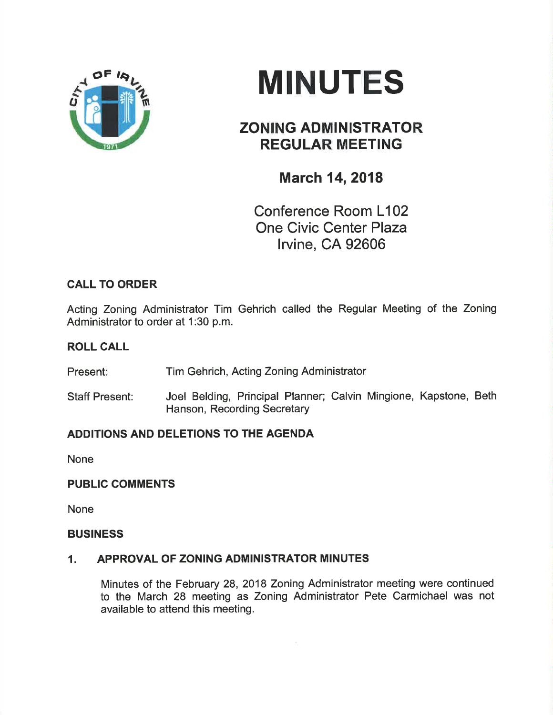

# **MINUTES**

# ZONING ADMINISTRATOR REGULAR MEETING

# March 14,2018

Conference Room L102 One Civic Center Plaza lrvine, CA 92606

## CALL TO ORDER

Acting Zoning Administrator Tim Gehrich called the Regular Meeting of the Zoning Administrator to order at 1:30 p.m.

### ROLL CALL

Present: Tim Gehrich, Acting Zoning Administrator

Staff Present: Joel Belding, Principal Planner; Calvin Mingione, Kapstone, Beth Hanson, Recording Secretary

## ADDITIONS AND DELETIONS TO THE AGENDA

None

#### PUBLIC COMMENTS

None

#### **BUSINESS**

#### 1. APPROVAL OF ZONING ADMINISTRATOR MINUTES

Minutes of the February 28, 2018 Zoning Administrator meeting were continued to the March 28 meeting as Zoning Administrator Pete Carmichael was not available to attend this meeting.